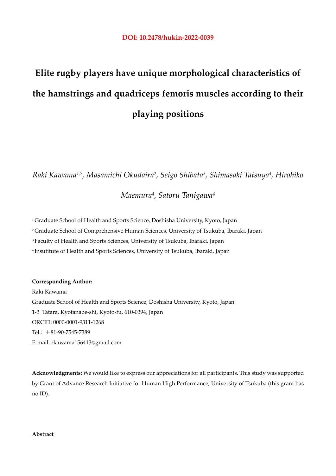# **Elite rugby players have unique morphological characteristics of the hamstrings and quadriceps femoris muscles according to their playing positions**

*Raki Kawama1,2, Masamichi Okudaira2, Seigo Shibata3, Shimasaki Tatsuya4, Hirohiko* 

*Maemura4, Satoru Tanigawa4* 

<sup>1</sup> Graduate School of Health and Sports Science, Doshisha University, Kyoto, Japan 2 Graduate School of Comprehensive Human Sciences, University of Tsukuba, Ibaraki, Japan 3 Faculty of Health and Sports Sciences, University of Tsukuba, Ibaraki, Japan 4 Insutitute of Health and Sports Sciences, University of Tsukuba, Ibaraki, Japan

**Corresponding Author:** 

Raki Kawama Graduate School of Health and Sports Science, Doshisha University, Kyoto, Japan 1-3 Tatara, Kyotanabe-shi, Kyoto-fu, 610-0394, Japan ORCID: 0000-0001-9311-1268 Tel.: +81-90-7545-7389 E-mail: rkawama156413@gmail.com

**Acknowledgments:** We would like to express our appreciations for all participants. This study was supported by Grant of Advance Research Initiative for Human High Performance, University of Tsukuba (this grant has no ID).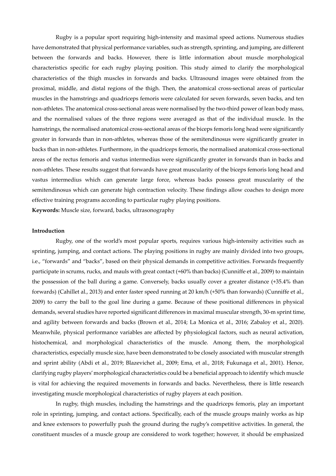Rugby is a popular sport requiring high-intensity and maximal speed actions. Numerous studies have demonstrated that physical performance variables, such as strength, sprinting, and jumping, are different between the forwards and backs. However, there is little information about muscle morphological characteristics specific for each rugby playing position. This study aimed to clarify the morphological characteristics of the thigh muscles in forwards and backs. Ultrasound images were obtained from the proximal, middle, and distal regions of the thigh. Then, the anatomical cross-sectional areas of particular muscles in the hamstrings and quadriceps femoris were calculated for seven forwards, seven backs, and ten non-athletes. The anatomical cross-sectional areas were normalised by the two-third power of lean body mass, and the normalised values of the three regions were averaged as that of the individual muscle. In the hamstrings, the normalised anatomical cross-sectional areas of the biceps femoris long head were significantly greater in forwards than in non-athletes, whereas those of the semitendinosus were significantly greater in backs than in non-athletes. Furthermore, in the quadriceps femoris, the normalised anatomical cross-sectional areas of the rectus femoris and vastus intermedius were significantly greater in forwards than in backs and non-athletes. These results suggest that forwards have great muscularity of the biceps femoris long head and vastus intermedius which can generate large force, whereas backs possess great muscularity of the semitendinosus which can generate high contraction velocity. These findings allow coaches to design more effective training programs according to particular rugby playing positions.

**Keywords:** Muscle size, forward, backs, ultrasonography

#### **Introduction**

Rugby, one of the world's most popular sports, requires various high-intensity activities such as sprinting, jumping, and contact actions. The playing positions in rugby are mainly divided into two groups, i.e., "forwards" and "backs", based on their physical demands in competitive activities. Forwards frequently participate in scrums, rucks, and mauls with great contact (+60% than backs) (Cunniffe et al., 2009) to maintain the possession of the ball during a game. Conversely, backs usually cover a greater distance (+35.4% than forwards) (Cahillet al., 2013) and enter faster speed running at 20 km/h (+50% than forwards) (Cunniffe et al., 2009) to carry the ball to the goal line during a game. Because of these positional differences in physical demands, several studies have reported significant differences in maximal muscular strength, 30-m sprint time, and agility between forwards and backs (Brown et al., 2014; La Monica et al., 2016; Zabaloy et al., 2020). Meanwhile, physical performance variables are affected by physiological factors, such as neural activation, histochemical, and morphological characteristics of the muscle. Among them, the morphological characteristics, especially muscle size, have been demonstrated to be closely associated with muscular strength and sprint ability (Abdi et al., 2019; Blazevichet al., 2009; Ema, et al., 2018; Fukunaga et al., 2001). Hence, clarifying rugby players' morphological characteristics could be a beneficial approach to identify which muscle is vital for achieving the required movements in forwards and backs. Nevertheless, there is little research investigating muscle morphological characteristics of rugby players at each position.

 In rugby, thigh muscles, including the hamstrings and the quadriceps femoris, play an important role in sprinting, jumping, and contact actions. Specifically, each of the muscle groups mainly works as hip and knee extensors to powerfully push the ground during the rugby's competitive activities. In general, the constituent muscles of a muscle group are considered to work together; however, it should be emphasized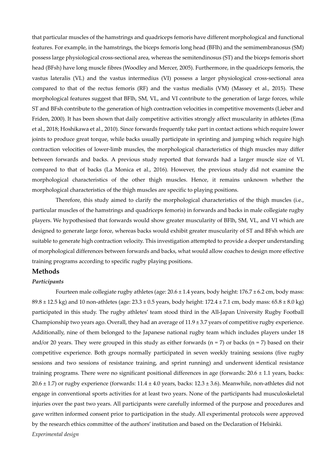that particular muscles of the hamstrings and quadriceps femoris have different morphological and functional features. For example, in the hamstrings, the biceps femoris long head (BFlh) and the semimembranosus (SM) possess large physiological cross-sectional area, whereas the semitendinosus (ST) and the biceps femoris short head (BFsh) have long muscle fibres (Woodley and Mercer, 2005). Furthermore, in the quadriceps femoris, the vastus lateralis (VL) and the vastus intermedius (VI) possess a larger physiological cross-sectional area compared to that of the rectus femoris (RF) and the vastus medialis (VM) (Massey et al., 2015). These morphological features suggest that BFlh, SM, VL, and VI contribute to the generation of large forces, while ST and BFsh contribute to the generation of high contraction velocities in competitive movements (Lieber and Friden, 2000). It has been shown that daily competitive activities strongly affect muscularity in athletes (Ema et al., 2018; Hoshikawa et al., 2010). Since forwards frequently take part in contact actions which require lower joints to produce great torque, while backs usually participate in sprinting and jumping which require high contraction velocities of lower-limb muscles, the morphological characteristics of thigh muscles may differ between forwards and backs. A previous study reported that forwards had a larger muscle size of VL compared to that of backs (La Monica et al., 2016). However, the previous study did not examine the morphological characteristics of the other thigh muscles. Hence, it remains unknown whether the morphological characteristics of the thigh muscles are specific to playing positions.

Therefore, this study aimed to clarify the morphological characteristics of the thigh muscles (i.e., particular muscles of the hamstrings and quadriceps femoris) in forwards and backs in male collegiate rugby players. We hypothesised that forwards would show greater muscularity of BFlh, SM, VL, and VI which are designed to generate large force, whereas backs would exhibit greater muscularity of ST and BFsh which are suitable to generate high contraction velocity. This investigation attempted to provide a deeper understanding of morphological differences between forwards and backs, what would allow coaches to design more effective training programs according to specific rugby playing positions.

## **Methods**

#### *Participants*

Fourteen male collegiate rugby athletes (age:  $20.6 \pm 1.4$  years, body height:  $176.7 \pm 6.2$  cm, body mass:  $89.8 \pm 12.5$  kg) and 10 non-athletes (age:  $23.3 \pm 0.5$  years, body height:  $172.4 \pm 7.1$  cm, body mass:  $65.8 \pm 8.0$  kg) participated in this study. The rugby athletes' team stood third in the All-Japan University Rugby Football Championship two years ago. Overall, they had an average of  $11.9 \pm 3.7$  years of competitive rugby experience. Additionally, nine of them belonged to the Japanese national rugby team which includes players under 18 and/or 20 years. They were grouped in this study as either forwards ( $n = 7$ ) or backs ( $n = 7$ ) based on their competitive experience. Both groups normally participated in seven weekly training sessions (five rugby sessions and two sessions of resistance training, and sprint running) and underwent identical resistance training programs. There were no significant positional differences in age (forwards: 20.6 ± 1.1 years, backs:  $20.6 \pm 1.7$ ) or rugby experience (forwards:  $11.4 \pm 4.0$  years, backs:  $12.3 \pm 3.6$ ). Meanwhile, non-athletes did not engage in conventional sports activities for at least two years. None of the participants had musculoskeletal injuries over the past two years. All participants were carefully informed of the purpose and procedures and gave written informed consent prior to participation in the study. All experimental protocols were approved by the research ethics committee of the authors' institution and based on the Declaration of Helsinki. *Experimental design*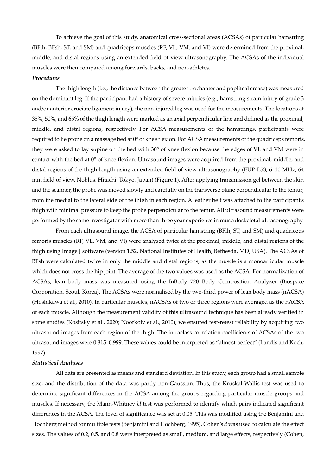To achieve the goal of this study, anatomical cross-sectional areas (ACSAs) of particular hamstring (BFlh, BFsh, ST, and SM) and quadriceps muscles (RF, VL, VM, and VI) were determined from the proximal, middle, and distal regions using an extended field of view ultrasonography. The ACSAs of the individual muscles were then compared among forwards, backs, and non-athletes.

### *Procedures*

The thigh length (i.e., the distance between the greater trochanter and popliteal crease) was measured on the dominant leg. If the participant had a history of severe injuries (e.g., hamstring strain injury of grade 3 and/or anterior cruciate ligament injury), the non-injured leg was used for the measurements. The locations at 35%, 50%, and 65% of the thigh length were marked as an axial perpendicular line and defined as the proximal, middle, and distal regions, respectively. For ACSA measurements of the hamstrings, participants were required to lie prone on a massage bed at 0° of knee flexion. For ACSA measurements of the quadriceps femoris, they were asked to lay supine on the bed with 30° of knee flexion because the edges of VL and VM were in contact with the bed at 0° of knee flexion. Ultrasound images were acquired from the proximal, middle, and distal regions of the thigh-length using an extended field of view ultrasonography (EUP-L53, 6–10 MHz, 64 mm field of view, Noblus, Hitachi, Tokyo, Japan) (Figure 1). After applying transmission gel between the skin and the scanner, the probe was moved slowly and carefully on the transverse plane perpendicular to the femur, from the medial to the lateral side of the thigh in each region. A leather belt was attached to the participant's thigh with minimal pressure to keep the probe perpendicular to the femur. All ultrasound measurements were performed by the same investigator with more than three year experience in musculoskeletal ultrasonography.

 From each ultrasound image, the ACSA of particular hamstring (BFlh, ST, and SM) and quadriceps femoris muscles (RF, VL, VM, and VI) were analysed twice at the proximal, middle, and distal regions of the thigh using Image J software (version 1.52, National Institutes of Health, Bethesda, MD, USA). The ACSAs of BFsh were calculated twice in only the middle and distal regions, as the muscle is a monoarticular muscle which does not cross the hip joint. The average of the two values was used as the ACSA. For normalization of ACSAs, lean body mass was measured using the InBody 720 Body Composition Analyzer (Biospace Corporation, Seoul, Korea). The ACSAs were normalised by the two-third power of lean body mass (nACSA) (Hoshikawa et al., 2010). In particular muscles, nACSAs of two or three regions were averaged as the nACSA of each muscle. Although the measurement validity of this ultrasound technique has been already verified in some studies (Kositsky et al., 2020; Noorkoiv et al., 2010), we ensured test-retest reliability by acquiring two ultrasound images from each region of the thigh. The intraclass correlation coefficients of ACSAs of the two ultrasound images were 0.815–0.999. These values could be interpreted as "almost perfect" (Landis and Koch, 1997).

### *Statistical Analyses*

 All data are presented as means and standard deviation. In this study, each group had a small sample size, and the distribution of the data was partly non-Gaussian. Thus, the Kruskal-Wallis test was used to determine significant differences in the ACSA among the groups regarding particular muscle groups and muscles. If necessary, the Mann-Whitney *U* test was performed to identify which pairs indicated significant differences in the ACSA. The level of significance was set at 0.05. This was modified using the Benjamini and Hochberg method for multiple tests (Benjamini and Hochberg, 1995). Cohen's *d* was used to calculate the effect sizes. The values of 0.2, 0.5, and 0.8 were interpreted as small, medium, and large effects, respectively (Cohen,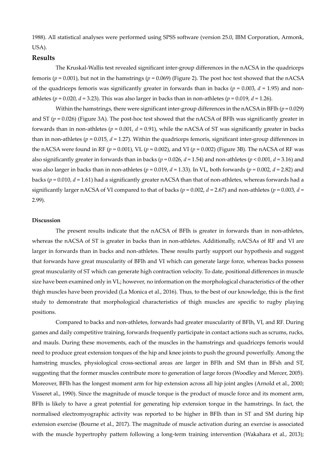1988). All statistical analyses were performed using SPSS software (version 25.0, IBM Corporation, Armonk, USA).

## **Results**

The Kruskal-Wallis test revealed significant inter-group differences in the nACSA in the quadriceps femoris ( $p = 0.001$ ), but not in the hamstrings ( $p = 0.069$ ) (Figure 2). The post hoc test showed that the nACSA of the quadriceps femoris was significantly greater in forwards than in backs ( $p = 0.003$ ,  $d = 1.95$ ) and nonathletes ( $p = 0.020$ ,  $d = 3.23$ ). This was also larger in backs than in non-athletes ( $p = 0.019$ ,  $d = 1.26$ ).

Within the hamstrings, there were significant inter-group differences in the nACSA in BFlh (*p* = 0.029) and ST (*p* = 0.026) (Figure 3A). The post-hoc test showed that the nACSA of BFlh was significantly greater in forwards than in non-athletes ( $p = 0.001$ ,  $d = 0.91$ ), while the nACSA of ST was significantly greater in backs than in non-athletes ( $p = 0.015$ ,  $d = 1.27$ ). Within the quadriceps femoris, significant inter-group differences in the nACSA were found in RF (*p* = 0.001), VL (*p* = 0.002), and VI (*p* = 0.002) (Figure 3B). The nACSA of RF was also significantly greater in forwards than in backs (*p* = 0.026, *d* = 1.54) and non-athletes (*p* < 0.001, *d* = 3.16) and was also larger in backs than in non-athletes (*p* = 0.019, *d* = 1.33). In VL, both forwards (*p* = 0.002, *d* = 2.82) and backs (*p* = 0.010, *d* = 1.61) had a significantly greater nACSA than that of non-athletes, whereas forwards had a significantly larger nACSA of VI compared to that of backs ( $p = 0.002$ ,  $d = 2.67$ ) and non-athletes ( $p = 0.003$ ,  $d =$ 2.99).

#### **Discussion**

The present results indicate that the nACSA of BFlh is greater in forwards than in non-athletes, whereas the nACSA of ST is greater in backs than in non-athletes. Additionally, nACSAs of RF and VI are larger in forwards than in backs and non-athletes. These results partly support our hypothesis and suggest that forwards have great muscularity of BFlh and VI which can generate large force, whereas backs possess great muscularity of ST which can generate high contraction velocity. To date, positional differences in muscle size have been examined only in VL; however, no information on the morphological characteristics of the other thigh muscles have been provided (La Monica et al., 2016). Thus, to the best of our knowledge, this is the first study to demonstrate that morphological characteristics of thigh muscles are specific to rugby playing positions.

 Compared to backs and non-athletes, forwards had greater muscularity of BFlh, VI, and RF. During games and daily competitive training, forwards frequently participate in contact actions such as scrums, rucks, and mauls. During these movements, each of the muscles in the hamstrings and quadriceps femoris would need to produce great extension torques of the hip and knee joints to push the ground powerfully. Among the hamstring muscles, physiological cross-sectional areas are larger in BFlh and SM than in BFsh and ST, suggesting that the former muscles contribute more to generation of large forces (Woodley and Mercer, 2005). Moreover, BFlh has the longest moment arm for hip extension across all hip joint angles (Arnold et al., 2000; Visseret al., 1990). Since the magnitude of muscle torque is the product of muscle force and its moment arm, BFlh is likely to have a great potential for generating hip extension torque in the hamstrings. In fact, the normalised electromyographic activity was reported to be higher in BFlh than in ST and SM during hip extension exercise (Bourne et al., 2017). The magnitude of muscle activation during an exercise is associated with the muscle hypertrophy pattern following a long-term training intervention (Wakahara et al., 2013);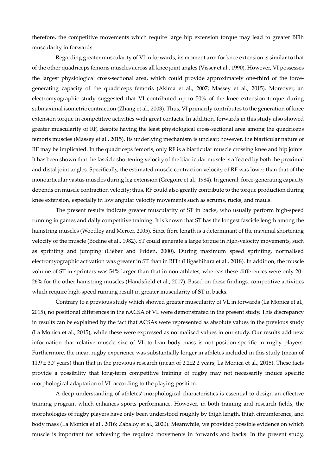therefore, the competitive movements which require large hip extension torque may lead to greater BFlh muscularity in forwards.

Regarding greater muscularity of VI in forwards, its moment arm for knee extension is similar to that of the other quadriceps femoris muscles across all knee joint angles (Visser et al., 1990). However, VI possesses the largest physiological cross-sectional area, which could provide approximately one-third of the forcegenerating capacity of the quadriceps femoris (Akima et al., 2007; Massey et al., 2015). Moreover, an electromyographic study suggested that VI contributed up to 50% of the knee extension torque during submaximal isometric contraction (Zhang et al., 2003). Thus, VI primarily contributes to the generation of knee extension torque in competitive activities with great contacts. In addition, forwards in this study also showed greater muscularity of RF, despite having the least physiological cross-sectional area among the quadriceps femoris muscles (Massey et al., 2015). Its underlying mechanism is unclear; however, the biarticular nature of RF may be implicated. In the quadriceps femoris, only RF is a biarticular muscle crossing knee and hip joints. It has been shown that the fascicle shortening velocity of the biarticular muscle is affected by both the proximal and distal joint angles. Specifically, the estimated muscle contraction velocity of RF was lower than that of the monoarticular vastus muscles during leg extension (Gregoire et al., 1984). In general, force-generating capacity depends on muscle contraction velocity; thus, RF could also greatly contribute to the torque production during knee extension, especially in low angular velocity movements such as scrums, rucks, and mauls.

The present results indicate greater muscularity of ST in backs, who usually perform high-speed running in games and daily competitive training. It is known that ST has the longest fascicle length among the hamstring muscles (Woodley and Mercer, 2005). Since fibre length is a determinant of the maximal shortening velocity of the muscle (Bodine et al., 1982), ST could generate a large torque in high-velocity movements, such as sprinting and jumping (Lieber and Friden, 2000). During maximum speed sprinting, normalised electromyographic activation was greater in ST than in BFlh (Higashihara et al., 2018). In addition, the muscle volume of ST in sprinters was 54% larger than that in non-athletes, whereas these differences were only 20– 26% for the other hamstring muscles (Handsfield et al., 2017). Based on these findings, competitive activities which require high-speed running result in greater muscularity of ST in backs.

 Contrary to a previous study which showed greater muscularity of VL in forwards (La Monica et al., 2015), no positional differences in the nACSA of VL were demonstrated in the present study. This discrepancy in results can be explained by the fact that ACSAs were represented as absolute values in the previous study (La Monica et al., 2015), while these were expressed as normalised values in our study. Our results add new information that relative muscle size of VL to lean body mass is not position-specific in rugby players. Furthermore, the mean rugby experience was substantially longer in athletes included in this study (mean of  $11.9 \pm 3.7$  years) than that in the previous research (mean of 2.2 $\pm$ 2.2 years; La Monica et al., 2015). These facts provide a possibility that long-term competitive training of rugby may not necessarily induce specific morphological adaptation of VL according to the playing position.

 A deep understanding of athletes' morphological characteristics is essential to design an effective training program which enhances sports performance. However, in both training and research fields, the morphologies of rugby players have only been understood roughly by thigh length, thigh circumference, and body mass (La Monica et al., 2016; Zabaloy et al., 2020). Meanwhile, we provided possible evidence on which muscle is important for achieving the required movements in forwards and backs. In the present study,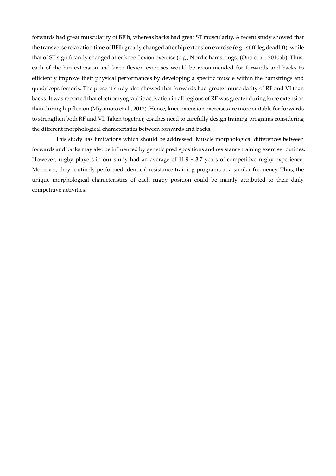forwards had great muscularity of BFlh, whereas backs had great ST muscularity. A recent study showed that the transverse relaxation time of BFlh greatly changed after hip extension exercise (e.g., stiff-leg deadlift), while that of ST significantly changed after knee flexion exercise (e.g., Nordic hamstrings) (Ono et al., 2010ab). Thus, each of the hip extension and knee flexion exercises would be recommended for forwards and backs to efficiently improve their physical performances by developing a specific muscle within the hamstrings and quadriceps femoris. The present study also showed that forwards had greater muscularity of RF and VI than backs. It was reported that electromyographic activation in all regions of RF was greater during knee extension than during hip flexion (Miyamoto et al., 2012). Hence, knee extension exercises are more suitable for forwards to strengthen both RF and VI. Taken together, coaches need to carefully design training programs considering the different morphological characteristics between forwards and backs.

This study has limitations which should be addressed. Muscle morphological differences between forwards and backs may also be influenced by genetic predispositions and resistance training exercise routines. However, rugby players in our study had an average of  $11.9 \pm 3.7$  years of competitive rugby experience. Moreover, they routinely performed identical resistance training programs at a similar frequency. Thus, the unique morphological characteristics of each rugby position could be mainly attributed to their daily competitive activities.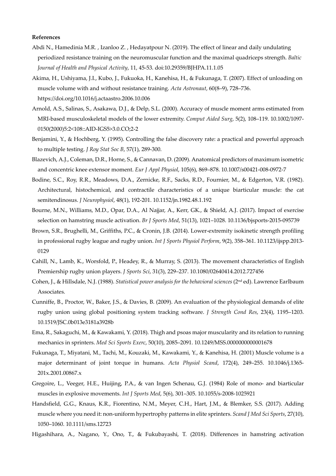#### **References**

- Abdi N., Hamedinia M.R. , Izanloo Z. , Hedayatpour N. (2019). The effect of linear and daily undulating periodized resistance training on the neuromuscular function and the maximal quadriceps strength. *Baltic Journal of Health and Physical Activity*, 11, 45-53. doi:10.29359/BJHPA.11.1.05
- Akima, H., Ushiyama, J.I., Kubo, J., Fukuoka, H., Kanehisa, H., & Fukunaga, T. (2007). Effect of unloading on muscle volume with and without resistance training. *Acta Astronaut*, 60(8–9), 728–736. https://doi.org/10.1016/j.actaastro.2006.10.006
- Arnold, A.S., Salinas, S., Asakawa, D.J., & Delp, S.L. (2000). Accuracy of muscle moment arms estimated from MRI-based musculoskeletal models of the lower extremity. *Comput Aided Surg*, 5(2), 108–119. 10.1002/1097- 0150(2000)5:2<108::AID-IGS5>3.0.CO;2-2
- Benjamini, Y., & Hochberg, Y. (1995). Controlling the false discovery rate: a practical and powerful approach to multiple testing. *J Roy Stat Soc B*, 57(1), 289-300.
- Blazevich, A.J., Coleman, D.R., Horne, S., & Cannavan, D. (2009). Anatomical predictors of maximum isometric and concentric knee extensor moment. *Eur J Appl Physiol*, 105(6), 869–878. 10.1007/s00421-008-0972-7
- Bodine, S.C., Roy, R.R., Meadows, D.A., Zernicke, R.F., Sacks, R.D., Fournier, M., & Edgerton, V.R. (1982). Architectural, histochemical, and contractile characteristics of a unique biarticular muscle: the cat semitendinosus. *J Neurophysiol*, 48(1), 192-201. 10.1152/jn.1982.48.1.192
- Bourne, M.N., Williams, M.D., Opar, D.A., Al Najjar, A., Kerr, GK., & Shield, A.J. (2017). Impact of exercise selection on hamstring muscle activation. *Br J Sports Med*, 51(13), 1021–1028. 10.1136/bjsports-2015-095739
- Brown, S.R., Brughelli, M., Griffiths, P.C., & Cronin, J.B. (2014). Lower-extremity isokinetic strength profiling in professional rugby league and rugby union. *Int J Sports Physiol Perform*, 9(2), 358–361. 10.1123/ijspp.2013- 0129
- Cahill, N., Lamb, K., Worsfold, P., Headey, R., & Murray, S. (2013). The movement characteristics of English Premiership rugby union players. *J Sports Sci*, 31(3), 229–237. 10.1080/02640414.2012.727456
- Cohen, J., & Hillsdale, N.J. (1988). *Statistical power analysis for the behavioral sciences* (2nd ed). Lawrence Earlbaum Associates.
- Cunniffe, B., Proctor, W., Baker, J.S., & Davies, B. (2009). An evaluation of the physiological demands of elite rugby union using global positioning system tracking software. *J Strength Cond Res*, 23(4), 1195–1203. 10.1519/JSC.0b013e3181a3928b
- Ema, R., Sakaguchi, M., & Kawakami, Y. (2018). Thigh and psoas major muscularity and its relation to running mechanics in sprinters. *Med Sci Sports Exerc*, 50(10), 2085–2091. 10.1249/MSS.0000000000001678
- Fukunaga, T., Miyatani, M., Tachi, M., Kouzaki, M., Kawakami, Y., & Kanehisa, H. (2001) Muscle volume is a major determinant of joint torque in humans. *Acta Physiol Scand*, 172(4), 249–255. 10.1046/j.1365- 201x.2001.00867.x
- Gregoire, L., Veeger, H.E., Huijing, P.A., & van Ingen Schenau, G.J. (1984) Role of mono- and biarticular muscles in explosive movements. *Int J Sports Med*, 5(6), 301–305. 10.1055/s-2008-1025921
- Handsfield, G.G., Knaus, K.R., Fiorentino, N.M., Meyer, C.H., Hart, J.M., & Blemker, S.S. (2017). Adding muscle where you need it: non-uniform hypertrophy patterns in elite sprinters. *Scand J Med Sci Sports*, 27(10), 1050–1060. 10.1111/sms.12723
- Higashihara, A., Nagano, Y., Ono, T., & Fukubayashi, T. (2018). Differences in hamstring activation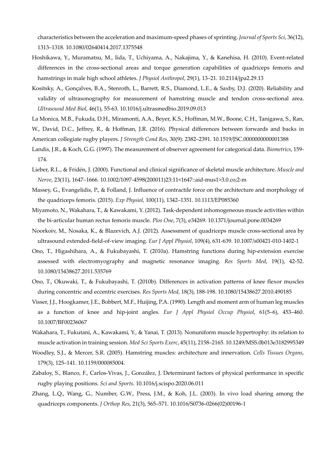characteristics between the acceleration and maximum-speed phases of sprinting. *Journal of Sports Sci*, 36(12), 1313–1318. 10.1080/02640414.2017.1375548

- Hoshikawa, Y., Muramatsu, M., Iida, T., Uchiyama, A., Nakajima, Y., & Kanehisa, H. (2010). Event-related differences in the cross-sectional areas and torque generation capabilities of quadriceps femoris and hamstrings in male high school athletes. *J Physiol Anthropol*, 29(1), 13–21. 10.2114/jpa2.29.13
- Kositsky, A., Gonçalves, B.A., Stenroth, L., Barrett, R.S., Diamond, L.E., & Saxby, D.J. (2020). Reliability and validity of ultrasonography for measurement of hamstring muscle and tendon cross-sectional area. *Ultrasound Med Biol*, 46(1), 55-63. 10.1016/j.ultrasmedbio.2019.09.013
- La Monica, M.B., Fukuda, D.H., Miramonti, A.A., Beyer, K.S., Hoffman, M.W., Boone, C.H., Tanigawa, S., Ran,
- W., David, D.C., Jeffrey, R., & Hoffman, J.R. (2016). Physical differences between forwards and backs in American collegiate rugby players. *J Strength Cond Res*, 30(9): 2382–2391. 10.1519/JSC.0000000000001388
- Landis, J.R., & Koch, G.G. (1997). The measurement of observer agreement for categorical data. *Biometrics*, 159- 174.
- Lieber, R.L., & Fridén, J. (2000). Functional and clinical significance of skeletal muscle architecture. *Muscle and Nerve*, 23(11), 1647–1666*.* 10.1002/1097-4598(200011)23:11<1647::aid-mus1>3.0.co;2-m
- Massey, G., Evangelidis, P., & Folland, J. Influence of contractile force on the architecture and morphology of the quadriceps femoris. (2015). *Exp Physiol*, 100(11), 1342–1351. 10.1113/EP085360
- Miyamoto, N., Wakahara, T., & Kawakami, Y. (2012). Task-dependent inhomogeneous muscle activities within the bi-articular human rectus femoris muscle. *Plos One*, 7(3), e34269. 10.1371/journal.pone.0034269
- Noorkoiv, M., Nosaka, K., & Blazevich, A.J. (2012). Assessment of quadriceps muscle cross-sectional area by ultrasound extended-field-of-view imaging. *Eur J Appl Physiol*, 109(4), 631-639. 10.1007/s00421-010-1402-1
- Ono, T., Higashihara, A., & Fukubayashi, T. (2010a). Hamstring functions during hip-extension exercise assessed with electromyography and magnetic resonance imaging. *Res Sports Med*, 19(1), 42-52. 10.1080/15438627.2011.535769
- Ono, T., Okuwaki, T., & Fukubayashi, T. (2010b). Differences in activation patterns of knee flexor muscles during concentric and eccentric exercises. *Res Sports Med*, 18(3), 188-198. 10.1080/15438627.2010.490185
- Visser, J.J., Hoogkamer, J.E., Bobbert, M.F., Huijing, P.A. (1990). Length and moment arm of human leg muscles as a function of knee and hip-joint angles. *Eur J Appl Physiol Occup Physiol*, 61(5–6), 453–460. 10.1007/BF00236067
- Wakahara, T., Fukutani, A., Kawakami, Y., & Yanai, T. (2013). Nonuniform muscle hypertrophy: its relation to muscle activation in training session. *Med Sci Sports Exerc*, 45(11), 2158–2165. 10.1249/MSS.0b013e3182995349
- Woodley, S.J., & Mercer, S.R. (2005). Hamstring muscles: architecture and innervation. *Cells Tissues Organs*, 179(3), 125–141. 10.1159/000085004.
- Zabaloy, S., Blanco, F., Carlos-Vivas, J., González, J. Determinant factors of physical performance in specific rugby playing positions. *Sci and Sports*. 10.1016/j.scispo.2020.06.011
- Zhang, L.Q., Wang, G., Number, G.W., Press, J.M., & Koh, J.L. (2003). In vivo load sharing among the quadriceps components. *J Orthop Res*, 21(3), 565–571. 10.1016/S0736-0266(02)00196-1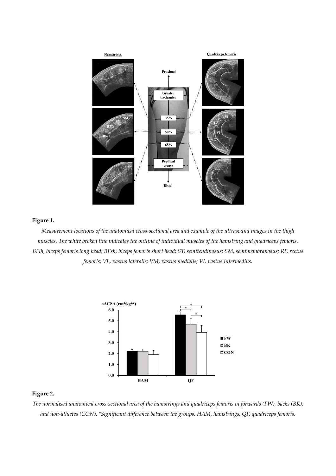

## **Figure 1.**

*Measurement locations of the anatomical cross-sectional area and example of the ultrasound images in the thigh muscles. The white broken line indicates the outline of individual muscles of the hamstring and quadriceps femoris. BFlh, biceps femoris long head; BFsh, biceps femoris short head; ST, semitendinosus; SM, semimembranosus; RF, rectus femoris; VL, vastus lateralis; VM, vastus medialis; VI, vastus intermedius.* 



# **Figure 2.**

*The normalised anatomical cross-sectional area of the hamstrings and quadriceps femoris in forwards (FW), backs (BK), and non-athletes (CON). \*Significant difference between the groups. HAM, hamstrings; QF, quadriceps femoris.*